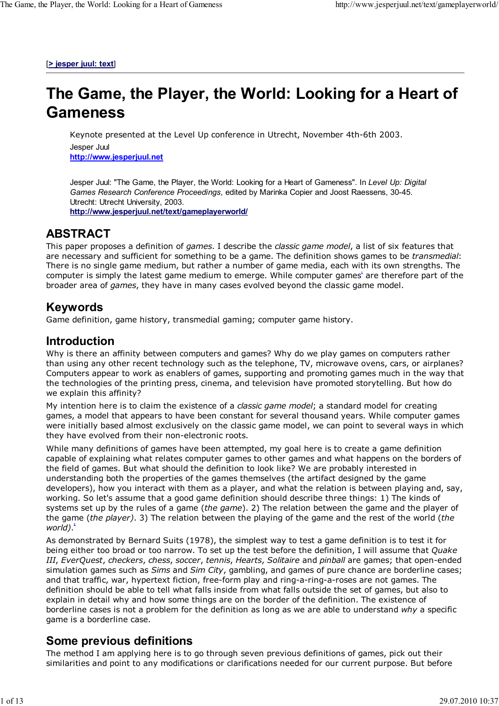[**> jesper juul: text**]

# **The Game, the Player, the World: Looking for a Heart of Gameness**

Keynote presented at the Level Up conference in Utrecht, November 4th-6th 2003. Jesper Juul **http://www.jesperjuul.net**

Jesper Juul: "The Game, the Player, the World: Looking for a Heart of Gameness". In *Level Up: Digital Games Research Conference Proceedings*, edited by Marinka Copier and Joost Raessens, 30-45. Utrecht: Utrecht University, 2003. **http://www.jesperjuul.net/text/gameplayerworld/**

#### **ABSTRACT**

This paper proposes a definition of *games*. I describe the *classic game model*, a list of six features that are necessary and sufficient for something to be a game. The definition shows games to be *transmedial*: There is no single game medium, but rather a number of game media, each with its own strengths. The computer is simply the latest game medium to emerge. While computer games<sup>t</sup> are therefore part of the broader area of *games*, they have in many cases evolved beyond the classic game model.

#### **Keywords**

Game definition, game history, transmedial gaming; computer game history.

#### **Introduction**

Why is there an affinity between computers and games? Why do we play games on computers rather than using any other recent technology such as the telephone, TV, microwave ovens, cars, or airplanes? Computers appear to work as enablers of games, supporting and promoting games much in the way that the technologies of the printing press, cinema, and television have promoted storytelling. But how do we explain this affinity?

My intention here is to claim the existence of a *classic game model*; a standard model for creating games, a model that appears to have been constant for several thousand years. While computer games were initially based almost exclusively on the classic game model, we can point to several ways in which they have evolved from their non-electronic roots.

While many definitions of games have been attempted, my goal here is to create a game definition capable of explaining what relates computer games to other games and what happens on the borders of the field of games. But what should the definition to look like? We are probably interested in understanding both the properties of the games themselves (the artifact designed by the game developers), how you interact with them as a player, and what the relation is between playing and, say, working. So let's assume that a good game definition should describe three things: 1) The kinds of systems set up by the rules of a game (*the game*). 2) The relation between the game and the player of the game (*the player)*. 3) The relation between the playing of the game and the rest of the world (*the world)*. **2**

As demonstrated by Bernard Suits (1978), the simplest way to test a game definition is to test it for being either too broad or too narrow. To set up the test before the definition, I will assume that *Quake III*, *EverQuest*, *checkers*, *chess*, *soccer*, *tennis*, *Hearts*, *Solitaire* and *pinball* are games; that open-ended simulation games such as *Sims* and *Sim City*, gambling, and games of pure chance are borderline cases; and that traffic, war, hypertext fiction, free-form play and ring-a-ring-a-roses are not games. The definition should be able to tell what falls inside from what falls outside the set of games, but also to explain in detail why and how some things are on the border of the definition. The existence of borderline cases is not a problem for the definition as long as we are able to understand *why* a specific game is a borderline case.

#### **Some previous definitions**

The method I am applying here is to go through seven previous definitions of games, pick out their similarities and point to any modifications or clarifications needed for our current purpose. But before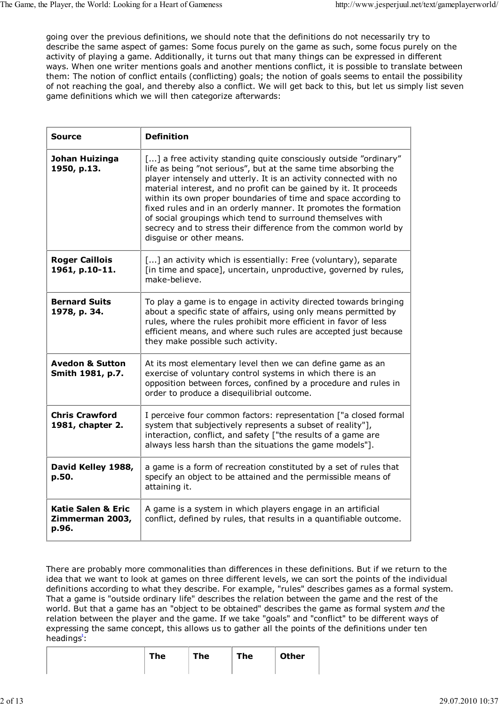going over the previous definitions, we should note that the definitions do not necessarily try to describe the same aspect of games: Some focus purely on the game as such, some focus purely on the activity of playing a game. Additionally, it turns out that many things can be expressed in different ways. When one writer mentions goals and another mentions conflict, it is possible to translate between them: The notion of conflict entails (conflicting) goals; the notion of goals seems to entail the possibility of not reaching the goal, and thereby also a conflict. We will get back to this, but let us simply list seven game definitions which we will then categorize afterwards:

| <b>Source</b>                                             | <b>Definition</b>                                                                                                                                                                                                                                                                                                                                                                                                                                                                                                                                                                |
|-----------------------------------------------------------|----------------------------------------------------------------------------------------------------------------------------------------------------------------------------------------------------------------------------------------------------------------------------------------------------------------------------------------------------------------------------------------------------------------------------------------------------------------------------------------------------------------------------------------------------------------------------------|
| Johan Huizinga<br>1950, p.13.                             | [] a free activity standing quite consciously outside "ordinary"<br>life as being "not serious", but at the same time absorbing the<br>player intensely and utterly. It is an activity connected with no<br>material interest, and no profit can be gained by it. It proceeds<br>within its own proper boundaries of time and space according to<br>fixed rules and in an orderly manner. It promotes the formation<br>of social groupings which tend to surround themselves with<br>secrecy and to stress their difference from the common world by<br>disguise or other means. |
| <b>Roger Caillois</b><br>1961, p.10-11.                   | [] an activity which is essentially: Free (voluntary), separate<br>[in time and space], uncertain, unproductive, governed by rules,<br>make-believe.                                                                                                                                                                                                                                                                                                                                                                                                                             |
| <b>Bernard Suits</b><br>1978, p. 34.                      | To play a game is to engage in activity directed towards bringing<br>about a specific state of affairs, using only means permitted by<br>rules, where the rules prohibit more efficient in favor of less<br>efficient means, and where such rules are accepted just because<br>they make possible such activity.                                                                                                                                                                                                                                                                 |
| <b>Avedon &amp; Sutton</b><br>Smith 1981, p.7.            | At its most elementary level then we can define game as an<br>exercise of voluntary control systems in which there is an<br>opposition between forces, confined by a procedure and rules in<br>order to produce a disequilibrial outcome.                                                                                                                                                                                                                                                                                                                                        |
| <b>Chris Crawford</b><br>1981, chapter 2.                 | I perceive four common factors: representation ["a closed formal<br>system that subjectively represents a subset of reality"],<br>interaction, conflict, and safety ["the results of a game are<br>always less harsh than the situations the game models"].                                                                                                                                                                                                                                                                                                                      |
| David Kelley 1988,<br>p.50.                               | a game is a form of recreation constituted by a set of rules that<br>specify an object to be attained and the permissible means of<br>attaining it.                                                                                                                                                                                                                                                                                                                                                                                                                              |
| <b>Katie Salen &amp; Eric</b><br>Zimmerman 2003,<br>p.96. | A game is a system in which players engage in an artificial<br>conflict, defined by rules, that results in a quantifiable outcome.                                                                                                                                                                                                                                                                                                                                                                                                                                               |

There are probably more commonalities than differences in these definitions. But if we return to the idea that we want to look at games on three different levels, we can sort the points of the individual definitions according to what they describe. For example, "rules" describes games as a formal system. That a game is "outside ordinary life" describes the relation between the game and the rest of the world. But that a game has an "object to be obtained" describes the game as formal system *and* the relation between the player and the game. If we take "goals" and "conflict" to be different ways of expressing the same concept, this allows us to gather all the points of the definitions under ten headings<sup>\*</sup>:

| <b>The</b> | The | The | <b>Other</b> |
|------------|-----|-----|--------------|
|            |     |     |              |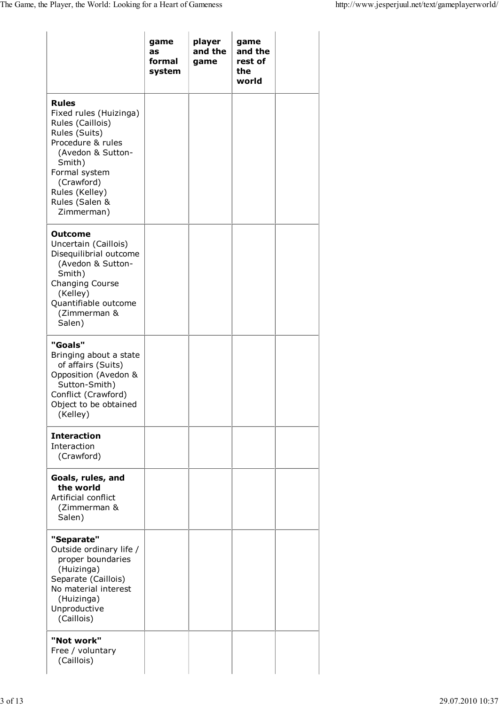|                                                                                                                                                                                                                  | game<br>as<br>formal<br>system | player<br>and the<br>game | game<br>and the<br>rest of<br>the<br>world |  |
|------------------------------------------------------------------------------------------------------------------------------------------------------------------------------------------------------------------|--------------------------------|---------------------------|--------------------------------------------|--|
| <b>Rules</b><br>Fixed rules (Huizinga)<br>Rules (Caillois)<br>Rules (Suits)<br>Procedure & rules<br>(Avedon & Sutton-<br>Smith)<br>Formal system<br>(Crawford)<br>Rules (Kelley)<br>Rules (Salen &<br>Zimmerman) |                                |                           |                                            |  |
| <b>Outcome</b><br>Uncertain (Caillois)<br>Disequilibrial outcome<br>(Avedon & Sutton-<br>Smith)<br>Changing Course<br>(Kelley)<br>Quantifiable outcome<br>(Zimmerman &<br>Salen)                                 |                                |                           |                                            |  |
| "Goals"<br>Bringing about a state<br>of affairs (Suits)<br>Opposition (Avedon &<br>Sutton-Smith)<br>Conflict (Crawford)<br>Object to be obtained<br>(Kelley)                                                     |                                |                           |                                            |  |
| <b>Interaction</b><br>Interaction<br>(Crawford)                                                                                                                                                                  |                                |                           |                                            |  |
| Goals, rules, and<br>the world<br>Artificial conflict<br>(Zimmerman &<br>Salen)                                                                                                                                  |                                |                           |                                            |  |
| "Separate"<br>Outside ordinary life /<br>proper boundaries<br>(Huizinga)<br>Separate (Caillois)<br>No material interest<br>(Huizinga)<br>Unproductive<br>(Caillois)                                              |                                |                           |                                            |  |
| "Not work"<br>Free / voluntary<br>(Caillois)                                                                                                                                                                     |                                |                           |                                            |  |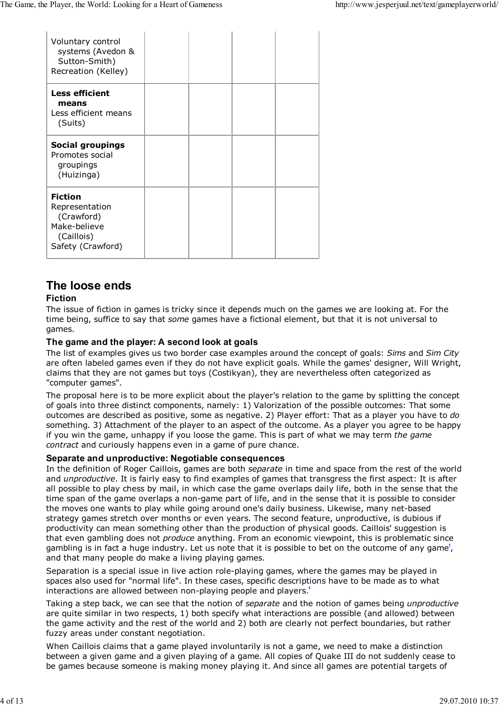| Voluntary control<br>systems (Avedon &<br>Sutton-Smith)<br>Recreation (Kelley)                    |  |  |
|---------------------------------------------------------------------------------------------------|--|--|
| <b>Less efficient</b><br>means<br>Less efficient means<br>(Suits)                                 |  |  |
| <b>Social groupings</b><br>Promotes social<br>groupings<br>(Huizinga)                             |  |  |
| <b>Fiction</b><br>Representation<br>(Crawford)<br>Make-believe<br>(Caillois)<br>Safety (Crawford) |  |  |

# **The loose ends**

#### **Fiction**

The issue of fiction in games is tricky since it depends much on the games we are looking at. For the time being, suffice to say that *some* games have a fictional element, but that it is not universal to games.

#### **The game and the player: A second look at goals**

The list of examples gives us two border case examples around the concept of goals: *Sims* and *Sim City* are often labeled games even if they do not have explicit goals. While the games' designer, Will Wright, claims that they are not games but toys (Costikyan), they are nevertheless often categorized as "computer games".

The proposal here is to be more explicit about the player's relation to the game by splitting the concept of goals into three distinct components, namely: 1) Valorization of the possible outcomes: That some outcomes are described as positive, some as negative. 2) Player effort: That as a player you have to *do* something. 3) Attachment of the player to an aspect of the outcome. As a player you agree to be happy if you win the game, unhappy if you loose the game. This is part of what we may term *the game contract* and curiously happens even in a game of pure chance.

#### **Separate and unproductive: Negotiable consequences**

In the definition of Roger Caillois, games are both *separate* in time and space from the rest of the world and *unproductive*. It is fairly easy to find examples of games that transgress the first aspect: It is after all possible to play chess by mail, in which case the game overlaps daily life, both in the sense that the time span of the game overlaps a non-game part of life, and in the sense that it is possible to consider the moves one wants to play while going around one's daily business. Likewise, many net-based strategy games stretch over months or even years. The second feature, unproductive, is dubious if productivity can mean something other than the production of physical goods. Caillois' suggestion is that even gambling does not *produce* anything. From an economic viewpoint, this is problematic since gambling is in fact a huge industry. Let us note that it is possible to bet on the outcome of any game<sup>\*</sup>, and that many people do make a living playing games.

Separation is a special issue in live action role-playing games, where the games may be played in spaces also used for "normal life". In these cases, specific descriptions have to be made as to what interactions are allowed between non-playing people and players.<sup>8</sup>

Taking a step back, we can see that the notion of *separate* and the notion of games being *unproductive* are quite similar in two respects, 1) both specify what interactions are possible (and allowed) between the game activity and the rest of the world and 2) both are clearly not perfect boundaries, but rather fuzzy areas under constant negotiation.

When Caillois claims that a game played involuntarily is not a game, we need to make a distinction between a given game and a given playing of a game. All copies of Quake III do not suddenly cease to be games because someone is making money playing it. And since all games are potential targets of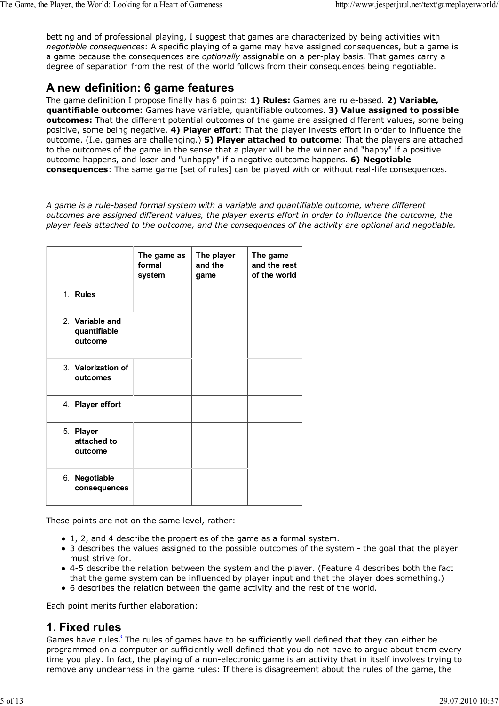betting and of professional playing, I suggest that games are characterized by being activities with *negotiable consequences*: A specific playing of a game may have assigned consequences, but a game is a game because the consequences are *optionally* assignable on a per-play basis. That games carry a degree of separation from the rest of the world follows from their consequences being negotiable.

## **A new definition: 6 game features**

The game definition I propose finally has 6 points: **1) Rules:** Games are rule-based. **2) Variable, quantifiable outcome:** Games have variable, quantifiable outcomes. **3) Value assigned to possible outcomes:** That the different potential outcomes of the game are assigned different values, some being positive, some being negative. **4) Player effort**: That the player invests effort in order to influence the outcome. (I.e. games are challenging.) **5) Player attached to outcome**: That the players are attached to the outcomes of the game in the sense that a player will be the winner and "happy" if a positive outcome happens, and loser and "unhappy" if a negative outcome happens. **6) Negotiable consequences**: The same game [set of rules] can be played with or without real-life consequences.

*A game is a rule-based formal system with a variable and quantifiable outcome, where different outcomes are assigned different values, the player exerts effort in order to influence the outcome, the player feels attached to the outcome, and the consequences of the activity are optional and negotiable.*

|                                            | The game as<br>formal<br>system | The player<br>and the<br>game | The game<br>and the rest<br>of the world |
|--------------------------------------------|---------------------------------|-------------------------------|------------------------------------------|
| 1. Rules                                   |                                 |                               |                                          |
| 2. Variable and<br>quantifiable<br>outcome |                                 |                               |                                          |
| 3. Valorization of<br>outcomes             |                                 |                               |                                          |
| 4. Player effort                           |                                 |                               |                                          |
| 5. Player<br>attached to<br>outcome        |                                 |                               |                                          |
| 6. Negotiable<br>consequences              |                                 |                               |                                          |

These points are not on the same level, rather:

- 1, 2, and 4 describe the properties of the game as a formal system.
- 3 describes the values assigned to the possible outcomes of the system the goal that the player must strive for.
- 4-5 describe the relation between the system and the player. (Feature 4 describes both the fact that the game system can be influenced by player input and that the player does something.)
- 6 describes the relation between the game activity and the rest of the world.

Each point merits further elaboration:

## **1. Fixed rules**

Games have rules.<sup>6</sup> The rules of games have to be sufficiently well defined that they can either be programmed on a computer or sufficiently well defined that you do not have to argue about them every time you play. In fact, the playing of a non-electronic game is an activity that in itself involves trying to remove any unclearness in the game rules: If there is disagreement about the rules of the game, the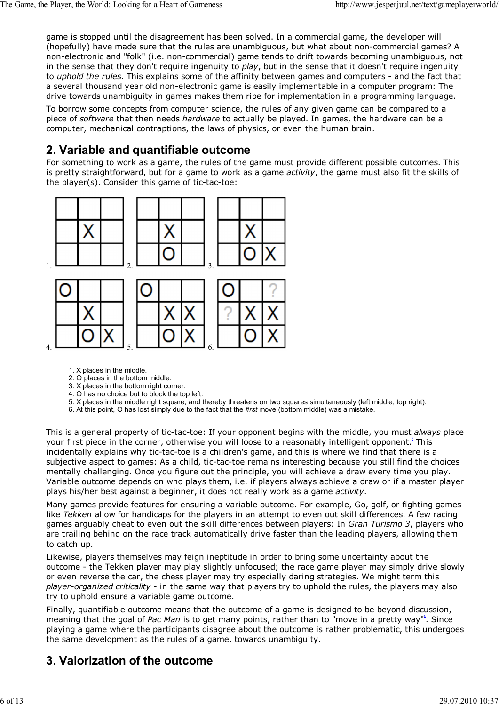game is stopped until the disagreement has been solved. In a commercial game, the developer will (hopefully) have made sure that the rules are unambiguous, but what about non-commercial games? A non-electronic and "folk" (i.e. non-commercial) game tends to drift towards becoming unambiguous, not in the sense that they don't require ingenuity to *play*, but in the sense that it doesn't require ingenuity to *uphold the rules*. This explains some of the affinity between games and computers - and the fact that a several thousand year old non-electronic game is easily implementable in a computer program: The drive towards unambiguity in games makes them ripe for implementation in a programming language.

To borrow some concepts from computer science, the rules of any given game can be compared to a piece of *software* that then needs *hardware* to actually be played. In games, the hardware can be a computer, mechanical contraptions, the laws of physics, or even the human brain.

#### **2. Variable and quantifiable outcome**

For something to work as a game, the rules of the game must provide different possible outcomes. This is pretty straightforward, but for a game to work as a game *activity*, the game must also fit the skills of the player(s). Consider this game of tic-tac-toe:



- 1. X places in the middle.
- 2. O places in the bottom middle.
- 3. X places in the bottom right corner.
- 4. O has no choice but to block the top left.
- 5. X places in the middle right square, and thereby threatens on two squares simultaneously (left middle, top right).
- 6. At this point, O has lost simply due to the fact that the *first* move (bottom middle) was a mistake.

This is a general property of tic-tac-toe: If your opponent begins with the middle, you must *always* place your first piece in the corner, otherwise you will loose to a reasonably intelligent opponent.**<sup>7</sup>** This incidentally explains why tic-tac-toe is a children's game, and this is where we find that there is a subjective aspect to games: As a child, tic-tac-toe remains interesting because you still find the choices mentally challenging. Once you figure out the principle, you will achieve a draw every time you play. Variable outcome depends on who plays them, i.e. if players always achieve a draw or if a master player plays his/her best against a beginner, it does not really work as a game *activity*.

Many games provide features for ensuring a variable outcome. For example, Go, golf, or fighting games like *Tekken* allow for handicaps for the players in an attempt to even out skill differences. A few racing games arguably cheat to even out the skill differences between players: In *Gran Turismo 3*, players who are trailing behind on the race track automatically drive faster than the leading players, allowing them to catch up.

Likewise, players themselves may feign ineptitude in order to bring some uncertainty about the outcome - the Tekken player may play slightly unfocused; the race game player may simply drive slowly or even reverse the car, the chess player may try especially daring strategies. We might term this *player-organized criticality* - in the same way that players try to uphold the rules, the players may also try to uphold ensure a variable game outcome.

Finally, quantifiable outcome means that the outcome of a game is designed to be beyond discussion, meaning that the goal of Pac Man is to get many points, rather than to "move in a pretty way"<sup>8</sup>. Since playing a game where the participants disagree about the outcome is rather problematic, this undergoes the same development as the rules of a game, towards unambiguity.

# **3. Valorization of the outcome**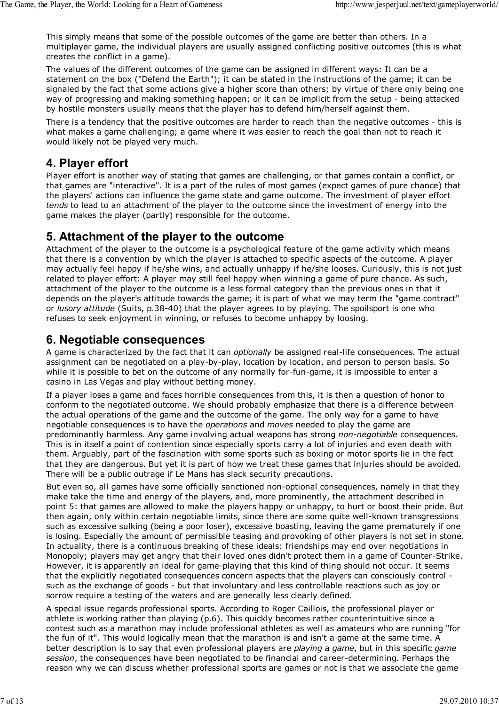This simply means that some of the possible outcomes of the game are better than others. In a multiplayer game, the individual players are usually assigned conflicting positive outcomes (this is what creates the conflict in a game).

The values of the different outcomes of the game can be assigned in different ways: It can be a statement on the box ("Defend the Earth"); it can be stated in the instructions of the game; it can be signaled by the fact that some actions give a higher score than others; by virtue of there only being one way of progressing and making something happen; or it can be implicit from the setup - being attacked by hostile monsters usually means that the player has to defend him/herself against them.

There is a tendency that the positive outcomes are harder to reach than the negative outcomes - this is what makes a game challenging; a game where it was easier to reach the goal than not to reach it would likely not be played very much.

## **4. Player effort**

Player effort is another way of stating that games are challenging, or that games contain a conflict, or that games are "interactive". It is a part of the rules of most games (expect games of pure chance) that the players' actions can influence the game state and game outcome. The investment of player effort *tends* to lead to an attachment of the player to the outcome since the investment of energy into the game makes the player (partly) responsible for the outcome.

## **5. Attachment of the player to the outcome**

Attachment of the player to the outcome is a psychological feature of the game activity which means that there is a convention by which the player is attached to specific aspects of the outcome. A player may actually feel happy if he/she wins, and actually unhappy if he/she looses. Curiously, this is not just related to player effort: A player may still feel happy when winning a game of pure chance. As such, attachment of the player to the outcome is a less formal category than the previous ones in that it depends on the player's attitude towards the game; it is part of what we may term the "game contract" or *lusory attitude* (Suits, p.38-40) that the player agrees to by playing. The spoilsport is one who refuses to seek enjoyment in winning, or refuses to become unhappy by loosing.

## **6. Negotiable consequences**

A game is characterized by the fact that it can *optionally* be assigned real-life consequences. The actual assignment can be negotiated on a play-by-play, location by location, and person to person basis. So while it is possible to bet on the outcome of any normally for-fun-game, it is impossible to enter a casino in Las Vegas and play without betting money.

If a player loses a game and faces horrible consequences from this, it is then a question of honor to conform to the negotiated outcome. We should probably emphasize that there is a difference between the actual operations of the game and the outcome of the game. The only way for a game to have negotiable consequences is to have the *operations* and *moves* needed to play the game are predominantly harmless. Any game involving actual weapons has strong *non-negotiable* consequences. This is in itself a point of contention since especially sports carry a lot of injuries and even death with them. Arguably, part of the fascination with some sports such as boxing or motor sports lie in the fact that they are dangerous. But yet it is part of how we treat these games that injuries should be avoided. There will be a public outrage if Le Mans has slack security precautions.

But even so, all games have some officially sanctioned non-optional consequences, namely in that they make take the time and energy of the players, and, more prominently, the attachment described in point 5: that games are allowed to make the players happy or unhappy, to hurt or boost their pride. But then again, only within certain negotiable limits, since there are some quite well-known transgressions such as excessive sulking (being a poor loser), excessive boasting, leaving the game prematurely if one is losing. Especially the amount of permissible teasing and provoking of other players is not set in stone. In actuality, there is a continuous breaking of these ideals: friendships may end over negotiations in Monopoly; players may get angry that their loved ones didn't protect them in a game of Counter-Strike. However, it is apparently an ideal for game-playing that this kind of thing should not occur. It seems that the explicitly negotiated consequences concern aspects that the players can consciously control such as the exchange of goods - but that involuntary and less controllable reactions such as joy or sorrow require a testing of the waters and are generally less clearly defined.

A special issue regards professional sports. According to Roger Caillois, the professional player or athlete is working rather than playing (p.6). This quickly becomes rather counterintuitive since a contest such as a marathon may include professional athletes as well as amateurs who are running "for the fun of it". This would logically mean that the marathon is and isn't a game at the same time. A better description is to say that even professional players are *playing* a *game*, but in this specific *game session*, the consequences have been negotiated to be financial and career-determining. Perhaps the reason why we can discuss whether professional sports are games or not is that we associate the game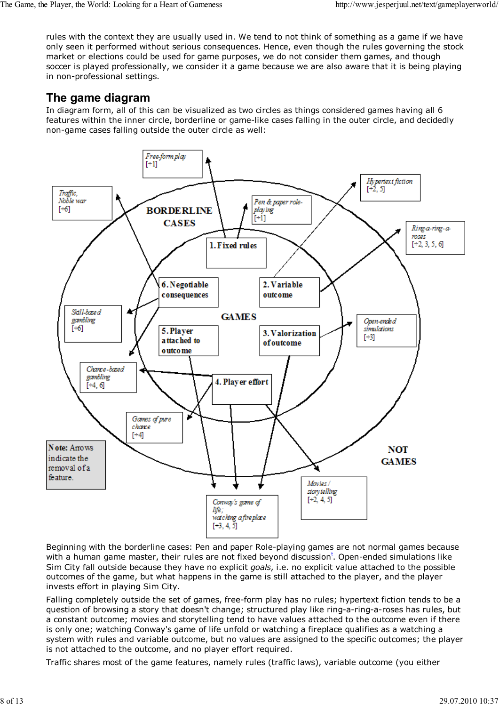rules with the context they are usually used in. We tend to not think of something as a game if we have only seen it performed without serious consequences. Hence, even though the rules governing the stock market or elections could be used for game purposes, we do not consider them games, and though soccer is played professionally, we consider it a game because we are also aware that it is being playing in non-professional settings.

# **The game diagram**

In diagram form, all of this can be visualized as two circles as things considered games having all 6 features within the inner circle, borderline or game-like cases falling in the outer circle, and decidedly non-game cases falling outside the outer circle as well:



Beginning with the borderline cases: Pen and paper Role-playing games are not normal games because with a human game master, their rules are not fixed beyond discussion<sup>\*</sup>. Open-ended simulations like Sim City fall outside because they have no explicit *goals*, i.e. no explicit value attached to the possible outcomes of the game, but what happens in the game is still attached to the player, and the player invests effort in playing Sim City.

Falling completely outside the set of games, free-form play has no rules; hypertext fiction tends to be a question of browsing a story that doesn't change; structured play like ring-a-ring-a-roses has rules, but a constant outcome; movies and storytelling tend to have values attached to the outcome even if there is only one; watching Conway's game of life unfold or watching a fireplace qualifies as a watching a system with rules and variable outcome, but no values are assigned to the specific outcomes; the player is not attached to the outcome, and no player effort required.

Traffic shares most of the game features, namely rules (traffic laws), variable outcome (you either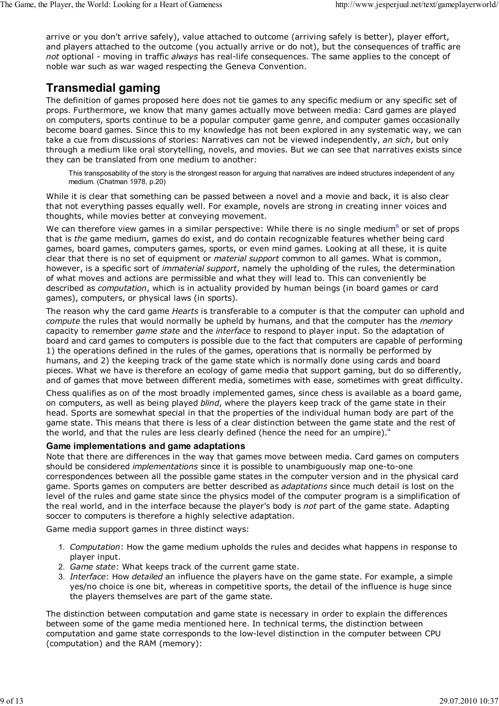arrive or you don't arrive safely), value attached to outcome (arriving safely is better), player effort, and players attached to the outcome (you actually arrive or do not), but the consequences of traffic are *not* optional - moving in traffic *always* has real-life consequences. The same applies to the concept of noble war such as war waged respecting the Geneva Convention.

## **Transmedial gaming**

The definition of games proposed here does not tie games to any specific medium or any specific set of props. Furthermore, we know that many games actually move between media: Card games are played on computers, sports continue to be a popular computer game genre, and computer games occasionally become board games. Since this to my knowledge has not been explored in any systematic way, we can take a cue from discussions of stories: Narratives can not be viewed independently, *an sich*, but only through a medium like oral storytelling, novels, and movies. But we can see that narratives exists since they can be translated from one medium to another:

This transposability of the story is the strongest reason for arguing that narratives are indeed structures independent of any medium. (Chatman 1978, p.20)

While it is clear that something can be passed between a novel and a movie and back, it is also clear that not everything passes equally well. For example, novels are strong in creating inner voices and thoughts, while movies better at conveying movement.

We can therefore view games in a similar perspective: While there is no single medium<sup>a</sup> or set of props that is *the* game medium, games do exist, and do contain recognizable features whether being card games, board games, computers games, sports, or even mind games. Looking at all these, it is quite clear that there is no set of equipment or *material support* common to all games. What is common, however, is a specific sort of *immaterial support*, namely the upholding of the rules, the determination of what moves and actions are permissible and what they will lead to. This can conveniently be described as *computation*, which is in actuality provided by human beings (in board games or card games), computers, or physical laws (in sports).

The reason why the card game *Hearts* is transferable to a computer is that the computer can uphold and *compute* the rules that would normally be upheld by humans, and that the computer has the *memory* capacity to remember *game state* and the *interface* to respond to player input. So the adaptation of board and card games to computers is possible due to the fact that computers are capable of performing 1) the operations defined in the rules of the games, operations that is normally be performed by humans, and 2) the keeping track of the game state which is normally done using cards and board pieces. What we have is therefore an ecology of game media that support gaming, but do so differently, and of games that move between different media, sometimes with ease, sometimes with great difficulty.

Chess qualifies as on of the most broadly implemented games, since chess is available as a board game, on computers, as well as being played *blind*, where the players keep track of the game state in their head. Sports are somewhat special in that the properties of the individual human body are part of the game state. This means that there is less of a clear distinction between the game state and the rest of the world, and that the rules are less clearly defined (hence the need for an umpire).<sup>11</sup>

#### **Game implementations and game adaptations**

Note that there are differences in the way that games move between media. Card games on computers should be considered *implementations* since it is possible to unambiguously map one-to-one correspondences between all the possible game states in the computer version and in the physical card game. Sports games on computers are better described as *adaptations* since much detail is lost on the level of the rules and game state since the physics model of the computer program is a simplification of the real world, and in the interface because the player's body is *not* part of the game state. Adapting soccer to computers is therefore a highly selective adaptation.

Game media support games in three distinct ways:

- *Computation*: How the game medium upholds the rules and decides what happens in response to 1. player input.
- 2. *Game state*: What keeps track of the current game state.
- *Interface*: How *detailed* an influence the players have on the game state. For example, a simple 3. yes/no choice is one bit, whereas in competitive sports, the detail of the influence is huge since the players themselves are part of the game state.

The distinction between computation and game state is necessary in order to explain the differences between some of the game media mentioned here. In technical terms, the distinction between computation and game state corresponds to the low-level distinction in the computer between CPU (computation) and the RAM (memory):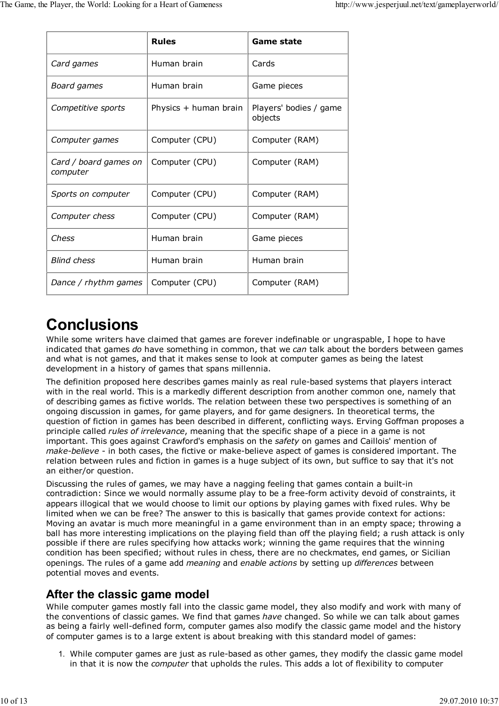|                                   | <b>Rules</b>          | Game state                        |  |
|-----------------------------------|-----------------------|-----------------------------------|--|
| Card games                        | Human brain           | Cards                             |  |
| Board games                       | Human brain           | Game pieces                       |  |
| Competitive sports                | Physics + human brain | Players' bodies / game<br>objects |  |
| Computer games                    | Computer (CPU)        | Computer (RAM)                    |  |
| Card / board games on<br>computer | Computer (CPU)        | Computer (RAM)                    |  |
| Sports on computer                | Computer (CPU)        | Computer (RAM)                    |  |
| Computer chess                    | Computer (CPU)        | Computer (RAM)                    |  |
| Chess                             | Human brain           | Game pieces                       |  |
| <b>Blind chess</b>                | Human brain           | Human brain                       |  |
| Dance / rhythm games              | Computer (CPU)        | Computer (RAM)                    |  |

# **Conclusions**

While some writers have claimed that games are forever indefinable or ungraspable, I hope to have indicated that games *do* have something in common, that we *can* talk about the borders between games and what is not games, and that it makes sense to look at computer games as being the latest development in a history of games that spans millennia.

The definition proposed here describes games mainly as real rule-based systems that players interact with in the real world. This is a markedly different description from another common one, namely that of describing games as fictive worlds. The relation between these two perspectives is something of an ongoing discussion in games, for game players, and for game designers. In theoretical terms, the question of fiction in games has been described in different, conflicting ways. Erving Goffman proposes a principle called *rules of irrelevance*, meaning that the specific shape of a piece in a game is not important. This goes against Crawford's emphasis on the *safety* on games and Caillois' mention of *make-believe* - in both cases, the fictive or make-believe aspect of games is considered important. The relation between rules and fiction in games is a huge subject of its own, but suffice to say that it's not an either/or question.

Discussing the rules of games, we may have a nagging feeling that games contain a built-in contradiction: Since we would normally assume play to be a free-form activity devoid of constraints, it appears illogical that we would choose to limit our options by playing games with fixed rules. Why be limited when we can be free? The answer to this is basically that games provide context for actions: Moving an avatar is much more meaningful in a game environment than in an empty space; throwing a ball has more interesting implications on the playing field than off the playing field; a rush attack is only possible if there are rules specifying how attacks work; winning the game requires that the winning condition has been specified; without rules in chess, there are no checkmates, end games, or Sicilian openings. The rules of a game add *meaning* and *enable actions* by setting up *differences* between potential moves and events.

## **After the classic game model**

While computer games mostly fall into the classic game model, they also modify and work with many of the conventions of classic games. We find that games *have* changed. So while we can talk about games as being a fairly well-defined form, computer games also modify the classic game model and the history of computer games is to a large extent is about breaking with this standard model of games:

1. While computer games are just as rule-based as other games, they modify the classic game model in that it is now the *computer* that upholds the rules. This adds a lot of flexibility to computer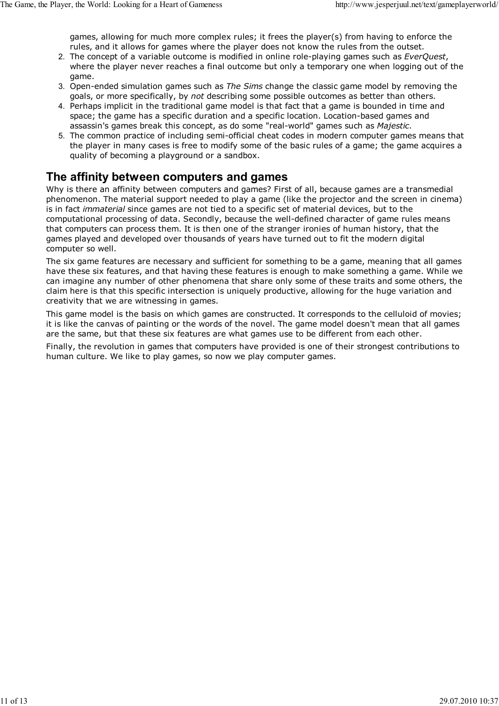games, allowing for much more complex rules; it frees the player(s) from having to enforce the rules, and it allows for games where the player does not know the rules from the outset.

- 2. The concept of a variable outcome is modified in online role-playing games such as *EverQuest*, where the player never reaches a final outcome but only a temporary one when logging out of the game.
- 3. Open-ended simulation games such as *The Sims* change the classic game model by removing the goals, or more specifically, by *not* describing some possible outcomes as better than others.
- 4. Perhaps implicit in the traditional game model is that fact that a game is bounded in time and space; the game has a specific duration and a specific location. Location-based games and assassin's games break this concept, as do some "real-world" games such as *Majestic*.
- 5. The common practice of including semi-official cheat codes in modern computer games means that the player in many cases is free to modify some of the basic rules of a game; the game acquires a quality of becoming a playground or a sandbox.

## **The affinity between computers and games**

Why is there an affinity between computers and games? First of all, because games are a transmedial phenomenon. The material support needed to play a game (like the projector and the screen in cinema) is in fact *immaterial* since games are not tied to a specific set of material devices, but to the computational processing of data. Secondly, because the well-defined character of game rules means that computers can process them. It is then one of the stranger ironies of human history, that the games played and developed over thousands of years have turned out to fit the modern digital computer so well.

The six game features are necessary and sufficient for something to be a game, meaning that all games have these six features, and that having these features is enough to make something a game. While we can imagine any number of other phenomena that share only some of these traits and some others, the claim here is that this specific intersection is uniquely productive, allowing for the huge variation and creativity that we are witnessing in games.

This game model is the basis on which games are constructed. It corresponds to the celluloid of movies; it is like the canvas of painting or the words of the novel. The game model doesn't mean that all games are the same, but that these six features are what games use to be different from each other.

Finally, the revolution in games that computers have provided is one of their strongest contributions to human culture. We like to play games, so now we play computer games.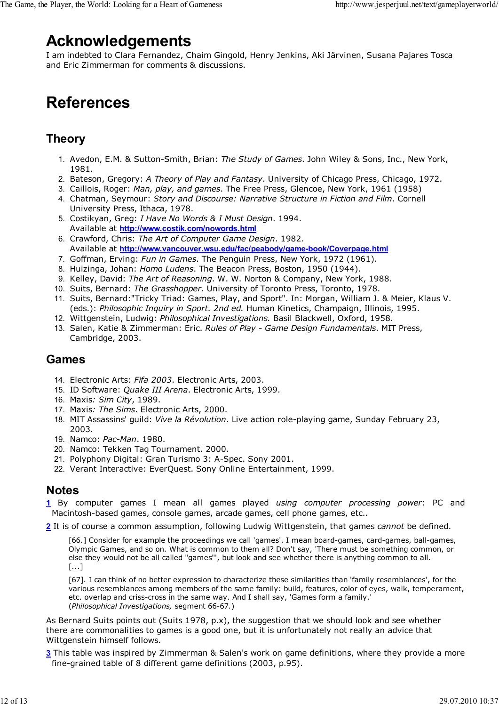# **Acknowledgements**

I am indebted to Clara Fernandez, Chaim Gingold, Henry Jenkins, Aki Järvinen, Susana Pajares Tosca and Eric Zimmerman for comments & discussions.

# **References**

## **Theory**

- 1. Avedon, E.M. & Sutton-Smith, Brian: *The Study of Games*. John Wiley & Sons, Inc., New York, 1981.
- 2. Bateson, Gregory: *A Theory of Play and Fantasy*. University of Chicago Press, Chicago, 1972.
- 3. Caillois, Roger: *Man, play, and games*. The Free Press, Glencoe, New York, 1961 (1958)
- 4. Chatman, Seymour: *Story and Discourse: Narrative Structure in Fiction and Film*. Cornell University Press, Ithaca, 1978.
- Costikyan, Greg: *I Have No Words & I Must Design*. 1994. 5. Available at **http://www.costik.com/nowords.html**
- Crawford, Chris: *The Art of Computer Game Design*. 1982. 6. Available at **http://www.vancouver.wsu.edu/fac/peabody/game-book/Coverpage.html**
- 7. Goffman, Erving: *Fun in Games*. The Penguin Press, New York, 1972 (1961).
- 8. Huizinga, Johan: *Homo Ludens*. The Beacon Press, Boston, 1950 (1944).
- 9. Kelley, David: *The Art of Reasoning*. W. W. Norton & Company, New York, 1988.
- 10. Suits, Bernard: *The Grasshopper*. University of Toronto Press, Toronto, 1978.
- 11. Suits, Bernard:"Tricky Triad: Games, Play, and Sport". In: Morgan, William J. & Meier, Klaus V. (eds.): *Philosophic Inquiry in Sport. 2nd ed.* Human Kinetics, Champaign, Illinois, 1995.
- 12. Wittgenstein, Ludwig: *Philosophical Investigations.* Basil Blackwell, Oxford, 1958.
- 13. Salen, Katie & Zimmerman: Eric. *Rules of Play Game Design Fundamentals*. MIT Press, Cambridge, 2003.

#### **Games**

- 14. Electronic Arts: *Fifa 2003*. Electronic Arts, 2003.
- 15. ID Software: *Quake III Arena*. Electronic Arts, 1999.
- 16. Maxis*: Sim City*, 1989.
- 17. Maxis*: The Sims*. Electronic Arts, 2000.
- MIT Assassins' guild: *Vive la Révolution*. Live action role-playing game, Sunday February 23, 18. 2003.
- 19. Namco: *Pac-Man*. 1980.
- 20. Namco: Tekken Tag Tournament. 2000.
- 21. Polyphony Digital: Gran Turismo 3: A-Spec. Sony 2001.
- 22. Verant Interactive: EverQuest. Sony Online Entertainment, 1999.

#### **Notes**

- **1** By computer games I mean all games played *using computer processing power*: PC and Macintosh-based games, console games, arcade games, cell phone games, etc..
- **2** It is of course a common assumption, following Ludwig Wittgenstein, that games *cannot* be defined.

[66.] Consider for example the proceedings we call 'games'. I mean board-games, card-games, ball-games, Olympic Games, and so on. What is common to them all? Don't say, 'There must be something common, or else they would not be all called "games"', but look and see whether there is anything common to all. [...]

[67]. I can think of no better expression to characterize these similarities than 'family resemblances', for the various resemblances among members of the same family: build, features, color of eyes, walk, temperament, etc. overlap and criss-cross in the same way. And I shall say, 'Games form a family.' (*Philosophical Investigations,* segment 66-67.)

As Bernard Suits points out (Suits 1978, p.x), the suggestion that we should look and see whether there are commonalities to games is a good one, but it is unfortunately not really an advice that Wittgenstein himself follows.

**3** This table was inspired by Zimmerman & Salen's work on game definitions, where they provide a more fine-grained table of 8 different game definitions (2003, p.95).